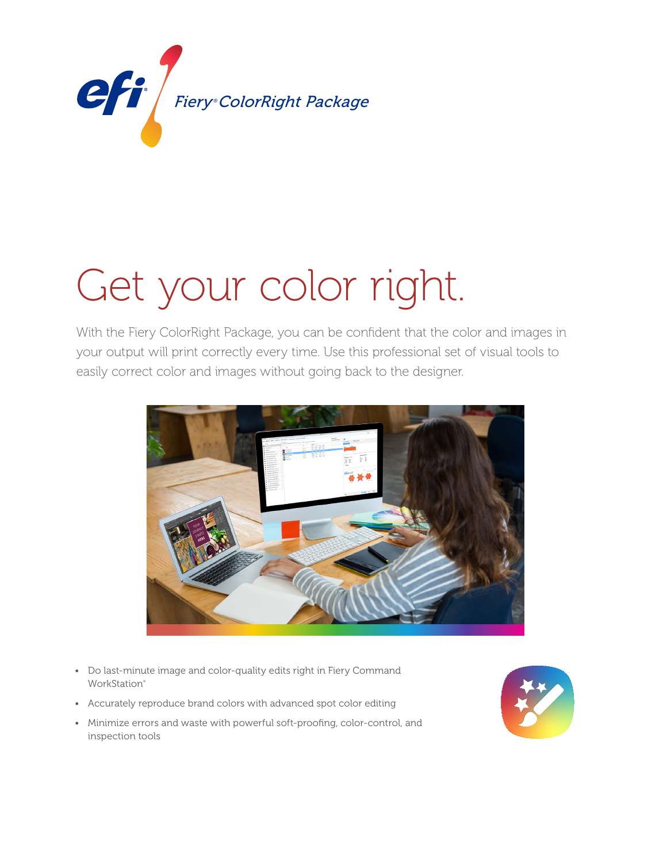

# Get your color right.

With the Fiery ColorRight Package, you can be confident that the color and images in your output will print correctly every time. Use this professional set of visual tools to easily correct color and images without going back to the designer.



- Do last-minute image and color-quality edits right in Fiery Command WorkStation<sup>®</sup>
- Accurately reproduce brand colors with advanced spot color editing
- Minimize errors and waste with powerful soft-proofing, color-control, and inspection tools